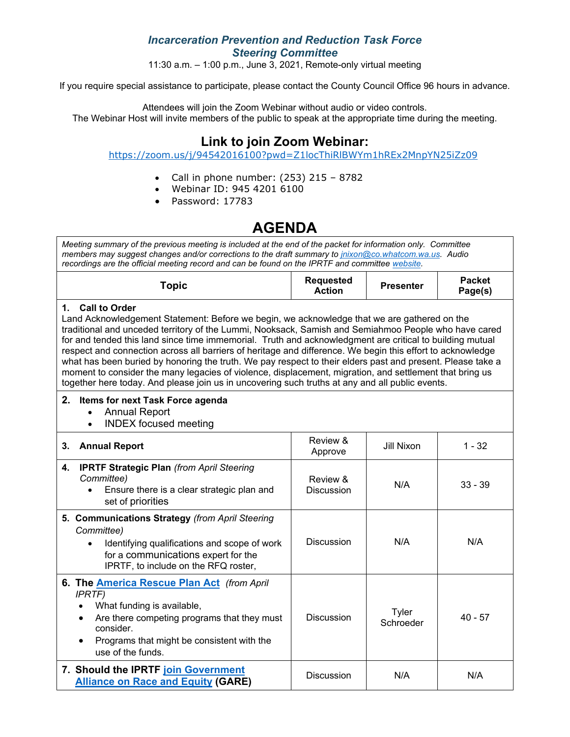## *Incarceration Prevention and Reduction Task Force Steering Committee*

11:30 a.m.  $-$  1:00 p.m., June 3, 2021, Remote-only virtual meeting

If you require special assistance to participate, please contact the County Council Office 96 hours in advance.

Attendees will join the Zoom Webinar without audio or video controls. The Webinar Host will invite members of the public to speak at the appropriate time during the meeting.

# **Link to join Zoom Webinar:**

<https://zoom.us/j/94542016100?pwd=Z1locThiRlBWYm1hREx2MnpYN25iZz09>

- Call in phone number: (253) 215 8782
- Webinar ID: 945 4201 6100
- Password: 17783

# **AGENDA**

*Meeting summary of the previous meeting is included at the end of the packet for information only. Committee members may suggest changes and/or corrections to the draft summary to [jnixon@co.whatcom.wa.us.](mailto:jnixon@co.whatcom.wa.us) Audio recordings are the official meeting record and can be found on the IPRTF and committe[e website.](http://www.co.whatcom.wa.us/2052/Incarceration-Prevention-and-Reduction-T)*

| `opic | <b>Requested</b><br><b>Action</b> | <b>Presenter</b> | <b>Packet</b><br>Page(s) |
|-------|-----------------------------------|------------------|--------------------------|
|       |                                   |                  |                          |

#### **1. Call to Order**

Land Acknowledgement Statement: Before we begin, we acknowledge that we are gathered on the traditional and unceded territory of the Lummi, Nooksack, Samish and Semiahmoo People who have cared for and tended this land since time immemorial. Truth and acknowledgment are critical to building mutual respect and connection across all barriers of heritage and difference. We begin this effort to acknowledge what has been buried by honoring the truth. We pay respect to their elders past and present. Please take a moment to consider the many legacies of violence, displacement, migration, and settlement that bring us together here today. And please join us in uncovering such truths at any and all public events.

### **2. Items for next Task Force agenda**

- Annual Report
- INDEX focused meeting

| 3.                                                                               | <b>Annual Report</b>                                                                                                                                                                                                             | Review &<br>Approve    | Jill Nixon         | $1 - 32$  |
|----------------------------------------------------------------------------------|----------------------------------------------------------------------------------------------------------------------------------------------------------------------------------------------------------------------------------|------------------------|--------------------|-----------|
| 4.                                                                               | <b>IPRTF Strategic Plan (from April Steering</b><br>Committee)<br>Ensure there is a clear strategic plan and<br>$\bullet$<br>set of priorities                                                                                   | Review &<br>Discussion | N/A                | $33 - 39$ |
|                                                                                  | 5. Communications Strategy (from April Steering<br>Committee)<br>Identifying qualifications and scope of work<br>$\bullet$<br>for a communications expert for the<br>IPRTF, to include on the RFQ roster,                        | <b>Discussion</b>      | N/A                | N/A       |
|                                                                                  | 6. The <b>America Rescue Plan Act</b> (from April<br><b>IPRTF</b> )<br>What funding is available,<br>Are there competing programs that they must<br>consider.<br>Programs that might be consistent with the<br>use of the funds. | <b>Discussion</b>      | Tyler<br>Schroeder | $40 - 57$ |
| 7. Should the IPRTF join Government<br><b>Alliance on Race and Equity (GARE)</b> |                                                                                                                                                                                                                                  | Discussion             | N/A                | N/A       |